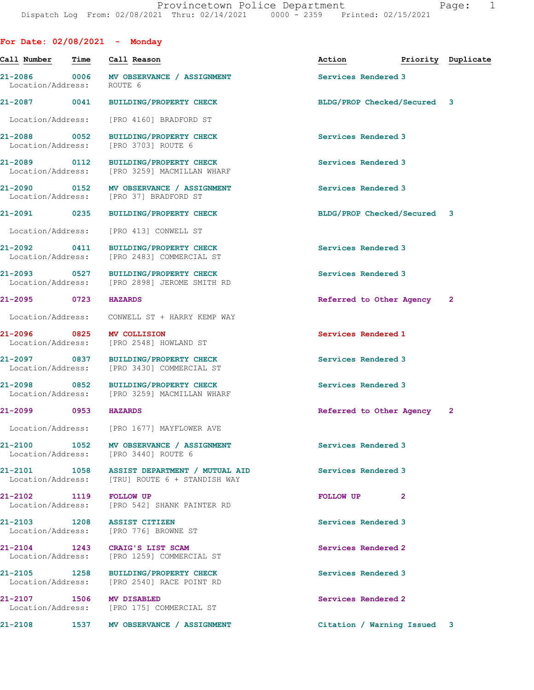| For Date: $02/08/2021$ - Monday   |      |                                                                                               |                             |                    |  |
|-----------------------------------|------|-----------------------------------------------------------------------------------------------|-----------------------------|--------------------|--|
| Call Number                       | Time | Call Reason                                                                                   | Action                      | Priority Duplicate |  |
| Location/Address: ROUTE 6         |      | 21-2086 0006 MV OBSERVANCE / ASSIGNMENT                                                       | Services Rendered 3         |                    |  |
|                                   |      | 21-2087 0041 BUILDING/PROPERTY CHECK                                                          | BLDG/PROP Checked/Secured 3 |                    |  |
| Location/Address:                 |      | [PRO 4160] BRADFORD ST                                                                        |                             |                    |  |
| 21-2088 0052<br>Location/Address: |      | <b>BUILDING/PROPERTY CHECK</b><br>[PRO 3703] ROUTE 6                                          | Services Rendered 3         |                    |  |
|                                   |      | 21-2089 0112 BUILDING/PROPERTY CHECK<br>Location/Address: [PRO 3259] MACMILLAN WHARF          | Services Rendered 3         |                    |  |
|                                   |      | 21-2090 0152 MV OBSERVANCE / ASSIGNMENT<br>Location/Address: [PRO 37] BRADFORD ST             | Services Rendered 3         |                    |  |
| 21-2091 0235                      |      | BUILDING/PROPERTY CHECK                                                                       | BLDG/PROP Checked/Secured 3 |                    |  |
|                                   |      | Location/Address: [PRO 413] CONWELL ST                                                        |                             |                    |  |
| Location/Address:                 |      | 21-2092 0411 BUILDING/PROPERTY CHECK<br>[PRO 2483] COMMERCIAL ST                              | Services Rendered 3         |                    |  |
|                                   |      | 21-2093 0527 BUILDING/PROPERTY CHECK<br>Location/Address: [PRO 2898] JEROME SMITH RD          | Services Rendered 3         |                    |  |
| 21-2095 0723                      |      | <b>HAZARDS</b>                                                                                | Referred to Other Agency 2  |                    |  |
|                                   |      | Location/Address: CONWELL ST + HARRY KEMP WAY                                                 |                             |                    |  |
| 21-2096 0825                      |      | <b>MV COLLISION</b><br>Location/Address: [PRO 2548] HOWLAND ST                                | Services Rendered 1         |                    |  |
|                                   |      | 21-2097 0837 BUILDING/PROPERTY CHECK<br>Location/Address: [PRO 3430] COMMERCIAL ST            | Services Rendered 3         |                    |  |
|                                   |      | 21-2098 0852 BUILDING/PROPERTY CHECK<br>Location/Address: [PRO 3259] MACMILLAN WHARF          | Services Rendered 3         |                    |  |
|                                   |      | <b>HAZARDS</b>                                                                                | Referred to Other Agency 2  |                    |  |
| Location/Address:                 |      | [PRO 1677] MAYFLOWER AVE                                                                      |                             |                    |  |
|                                   |      | 21-2100 1052 MV OBSERVANCE / ASSIGNMENT<br>Location/Address: [PRO 3440] ROUTE 6               | Services Rendered 3         |                    |  |
|                                   |      | 21-2101 1058 ASSIST DEPARTMENT / MUTUAL AID<br>Location/Address: [TRU] ROUTE 6 + STANDISH WAY | Services Rendered 3         |                    |  |
| 21-2102 1119 FOLLOW UP            |      | Location/Address: [PRO 542] SHANK PAINTER RD                                                  | FOLLOW UP <sub>2</sub>      |                    |  |
|                                   |      | 21-2103 1208 ASSIST CITIZEN<br>Location/Address: [PRO 776] BROWNE ST                          | Services Rendered 3         |                    |  |
|                                   |      | 21-2104 1243 CRAIG'S LIST SCAM<br>Location/Address: [PRO 1259] COMMERCIAL ST                  | Services Rendered 2         |                    |  |
|                                   |      | 21-2105 1258 BUILDING/PROPERTY CHECK<br>Location/Address: [PRO 2540] RACE POINT RD            | Services Rendered 3         |                    |  |
| 21-2107 1506 MV DISABLED          |      | Location/Address: [PRO 175] COMMERCIAL ST                                                     | Services Rendered 2         |                    |  |

**21-2108 1537 MV OBSERVANCE / ASSIGNMENT Citation / Warning Issued 3**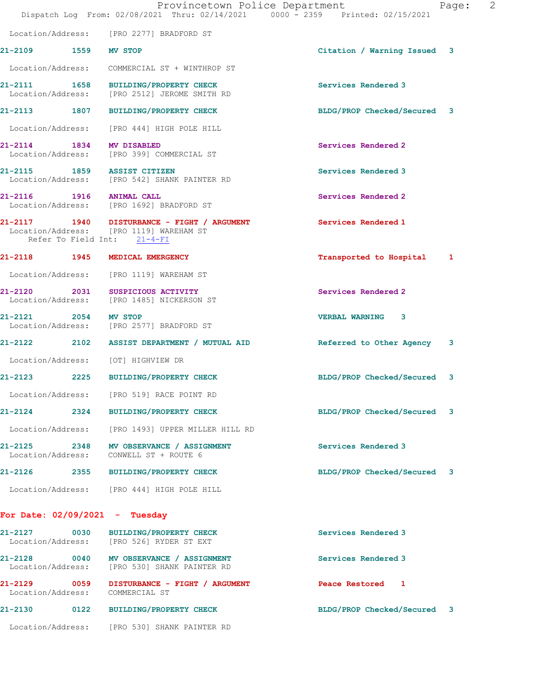|                                   | Provincetown Police Department<br>Dispatch Log From: 02/08/2021 Thru: 02/14/2021 0000 - 2359 Printed: 02/15/2021      |                             | $\overline{2}$<br>Page: |
|-----------------------------------|-----------------------------------------------------------------------------------------------------------------------|-----------------------------|-------------------------|
|                                   | Location/Address: [PRO 2277] BRADFORD ST                                                                              |                             |                         |
| 21-2109 1559 MV STOP              |                                                                                                                       | Citation / Warning Issued 3 |                         |
|                                   | Location/Address: COMMERCIAL ST + WINTHROP ST                                                                         |                             |                         |
|                                   | 21-2111 1658 BUILDING/PROPERTY CHECK<br>Location/Address: [PRO 2512] JEROME SMITH RD                                  | Services Rendered 3         |                         |
|                                   | 21-2113 1807 BUILDING/PROPERTY CHECK                                                                                  | BLDG/PROP Checked/Secured 3 |                         |
|                                   | Location/Address: [PRO 444] HIGH POLE HILL                                                                            |                             |                         |
| 21-2114 1834                      | MV DISABLED<br>Location/Address: [PRO 399] COMMERCIAL ST                                                              | Services Rendered 2         |                         |
|                                   | 21-2115 1859 ASSIST CITIZEN<br>Location/Address: [PRO 542] SHANK PAINTER RD                                           | Services Rendered 3         |                         |
| 21-2116 1916 ANIMAL CALL          | Location/Address: [PRO 1692] BRADFORD ST                                                                              | Services Rendered 2         |                         |
|                                   | 21-2117 1940 DISTURBANCE - FIGHT / ARGUMENT<br>Location/Address: [PRO 1119] WAREHAM ST<br>Refer To Field Int: 21-4-FI | Services Rendered 1         |                         |
|                                   | 21-2118 1945 MEDICAL EMERGENCY                                                                                        | Transported to Hospital     | 1                       |
|                                   | Location/Address: [PRO 1119] WAREHAM ST                                                                               |                             |                         |
|                                   | 21-2120 2031 SUSPICIOUS ACTIVITY<br>Location/Address: [PRO 1485] NICKERSON ST                                         | Services Rendered 2         |                         |
| 21-2121 2054 MV STOP              | Location/Address: [PRO 2577] BRADFORD ST                                                                              | <b>VERBAL WARNING 3</b>     |                         |
|                                   | 21-2122 2102 ASSIST DEPARTMENT / MUTUAL AID                                                                           | Referred to Other Agency    | 3                       |
|                                   | Location/Address: [OT] HIGHVIEW DR                                                                                    |                             |                         |
| $21 - 2123$                       | 2225 BUILDING/PROPERTY CHECK                                                                                          | BLDG/PROP Checked/Secured 3 |                         |
|                                   | Location/Address: [PRO 519] RACE POINT RD                                                                             |                             |                         |
|                                   | 21-2124 2324 BUILDING/PROPERTY CHECK                                                                                  | BLDG/PROP Checked/Secured 3 |                         |
|                                   | Location/Address: [PRO 1493] UPPER MILLER HILL RD                                                                     |                             |                         |
|                                   | 21-2125 2348 MV OBSERVANCE / ASSIGNMENT<br>Location/Address: CONWELL ST + ROUTE 6                                     | Services Rendered 3         |                         |
|                                   | 21-2126 2355 BUILDING/PROPERTY CHECK                                                                                  | BLDG/PROP Checked/Secured 3 |                         |
|                                   | Location/Address: [PRO 444] HIGH POLE HILL                                                                            |                             |                         |
|                                   | For Date: $02/09/2021$ - Tuesday                                                                                      |                             |                         |
| 21-2127 0030                      | BUILDING/PROPERTY CHECK<br>Location/Address: [PRO 526] RYDER ST EXT                                                   | Services Rendered 3         |                         |
|                                   | 21-2128 0040 MV OBSERVANCE / ASSIGNMENT<br>Location/Address: [PRO 530] SHANK PAINTER RD                               | Services Rendered 3         |                         |
| 21-2129 0059<br>Location/Address: | DISTURBANCE - FIGHT / ARGUMENT<br>COMMERCIAL ST                                                                       | Peace Restored 1            |                         |
| 21-2130                           | 0122 BUILDING/PROPERTY CHECK                                                                                          | BLDG/PROP Checked/Secured 3 |                         |
|                                   | Location/Address: [PRO 530] SHANK PAINTER RD                                                                          |                             |                         |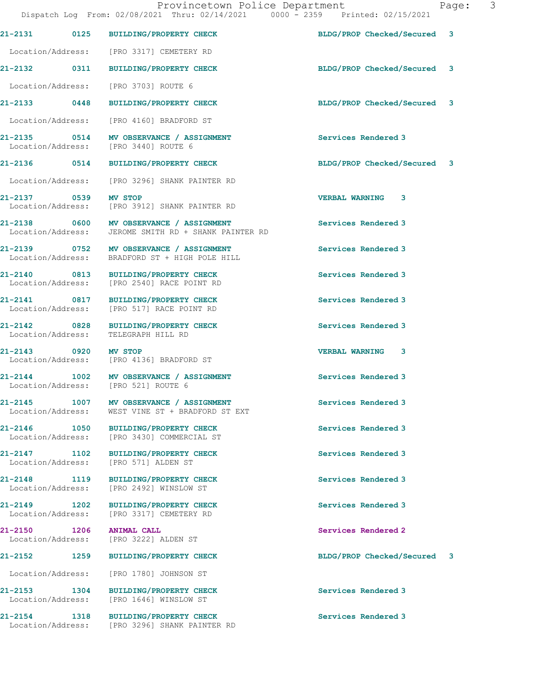**21-2131 0125 BUILDING/PROPERTY CHECK BLDG/PROP Checked/Secured 3** Location/Address: [PRO 3317] CEMETERY RD **21-2132 0311 BUILDING/PROPERTY CHECK BLDG/PROP Checked/Secured 3** Location/Address: [PRO 3703] ROUTE 6 **21-2133 0448 BUILDING/PROPERTY CHECK BLDG/PROP Checked/Secured 3** Location/Address: [PRO 4160] BRADFORD ST **21-2135 0514 MV OBSERVANCE / ASSIGNMENT Services Rendered 3**  Location/Address: [PRO 3440] ROUTE 6 **21-2136 0514 BUILDING/PROPERTY CHECK BLDG/PROP Checked/Secured 3** Location/Address: [PRO 3296] SHANK PAINTER RD **21-2137 0539 MV STOP VERBAL WARNING 3**  Location/Address: [PRO 3912] SHANK PAINTER RD **21-2138 0600 MV OBSERVANCE / ASSIGNMENT Services Rendered 3**  Location/Address: JEROME SMITH RD + SHANK PAINTER RD **21-2139 0752 MV OBSERVANCE / ASSIGNMENT Services Rendered 3**  BRADFORD ST + HIGH POLE HILL **21-2140 0813 BUILDING/PROPERTY CHECK Services Rendered 3**  [PRO 2540] RACE POINT RD **21-2141 0817 BUILDING/PROPERTY CHECK Services Rendered 3**  Location/Address: [PRO 517] RACE POINT RD **21-2142 0828 BUILDING/PROPERTY CHECK Services Rendered 3**  Location/Address: TELEGRAPH HILL RD **21-2143 0920 MV STOP VERBAL WARNING 3**  Location/Address: [PRO 4136] BRADFORD ST 21-2144 1002 MV OBSERVANCE / ASSIGNMENT **Services Rendered 3**  Location/Address: [PRO 521] ROUTE 6 **21-2145 1007 MV OBSERVANCE / ASSIGNMENT Services Rendered 3**  Location/Address: WEST VINE ST + BRADFORD ST EXT **21-2146 1050 BUILDING/PROPERTY CHECK Services Rendered 3**  Location/Address: [PRO 3430] COMMERCIAL ST **21-2147 1102 BUILDING/PROPERTY CHECK Services Rendered 3**  Location/Address: [PRO 571] ALDEN ST **21-2148 1119 BUILDING/PROPERTY CHECK Services Rendered 3**  Location/Address: [PRO 2492] WINSLOW ST **21-2149 1202 BUILDING/PROPERTY CHECK Services Rendered 3**  [PRO 3317] CEMETERY RD **21-2150 1206 ANIMAL CALL Services Rendered 2**  Location/Address: [PRO 3222] ALDEN ST **21-2152 1259 BUILDING/PROPERTY CHECK BLDG/PROP Checked/Secured 3** Location/Address: [PRO 1780] JOHNSON ST **21-2153 1304 BUILDING/PROPERTY CHECK Services Rendered 3**  Location/Address: [PRO 1646] WINSLOW ST **21-2154 1318 BUILDING/PROPERTY CHECK Services Rendered 3**  Location/Address: [PRO 3296] SHANK PAINTER RD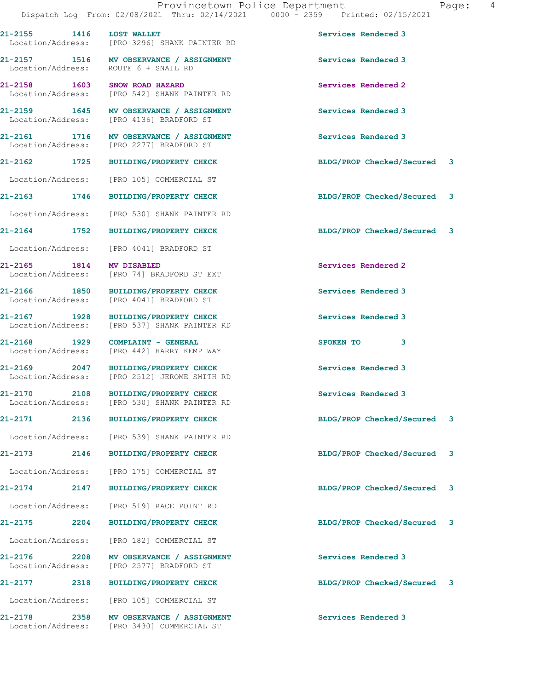**21-2155 1416 LOST WALLET Services Rendered 3**  Location/Address: [PRO 3296] SHANK PAINTER RD **21-2157 1516 MV OBSERVANCE / ASSIGNMENT Services Rendered 3**  Location/Address: ROUTE 6 + SNAIL RD **21-2158 1603 SNOW ROAD HAZARD Services Rendered 2**  Location/Address: [PRO 542] SHANK PAINTER RD 21-2159 1645 MV OBSERVANCE / ASSIGNMENT **Services Rendered 3 Increment Constructs** Rendered 3 **Increment Constructs** Services Rendered 3 [PRO 4136] BRADFORD ST **21-2161 1716 MV OBSERVANCE / ASSIGNMENT Services Rendered 3**  Location/Address: [PRO 2277] BRADFORD ST **21-2162 1725 BUILDING/PROPERTY CHECK BLDG/PROP Checked/Secured 3** Location/Address: [PRO 105] COMMERCIAL ST **21-2163 1746 BUILDING/PROPERTY CHECK BLDG/PROP Checked/Secured 3** Location/Address: [PRO 530] SHANK PAINTER RD **21-2164 1752 BUILDING/PROPERTY CHECK BLDG/PROP Checked/Secured 3** Location/Address: [PRO 4041] BRADFORD ST **21-2165 1814 MV DISABLED Services Rendered 2**  Location/Address: [PRO 74] BRADFORD ST EXT **21-2166 1850 BUILDING/PROPERTY CHECK Services Rendered 3**  Location/Address: [PRO 4041] BRADFORD ST **21-2167 1928 BUILDING/PROPERTY CHECK Services Rendered 3**  Location/Address: [PRO 537] SHANK PAINTER RD **21-2168 1929 COMPLAINT - GENERAL SPOKEN TO 3**  Location/Address: [PRO 442] HARRY KEMP WAY **21-2169 2047 BUILDING/PROPERTY CHECK Services Rendered 3**  Location/Address: [PRO 2512] JEROME SMITH RD **21-2170 2108 BUILDING/PROPERTY CHECK Services Rendered 3**  Location/Address: [PRO 530] SHANK PAINTER RD **21-2171 2136 BUILDING/PROPERTY CHECK BLDG/PROP Checked/Secured 3** Location/Address: [PRO 539] SHANK PAINTER RD **21-2173 2146 BUILDING/PROPERTY CHECK BLDG/PROP Checked/Secured 3** Location/Address: [PRO 175] COMMERCIAL ST **21-2174 2147 BUILDING/PROPERTY CHECK BLDG/PROP Checked/Secured 3** Location/Address: [PRO 519] RACE POINT RD **21-2175 2204 BUILDING/PROPERTY CHECK BLDG/PROP Checked/Secured 3** Location/Address: [PRO 182] COMMERCIAL ST **21-2176 2208 MV OBSERVANCE / ASSIGNMENT Services Rendered 3**  Location/Address: [PRO 2577] BRADFORD ST **21-2177 2318 BUILDING/PROPERTY CHECK BLDG/PROP Checked/Secured 3** Location/Address: [PRO 105] COMMERCIAL ST

**21-2178 2358 MV OBSERVANCE / ASSIGNMENT Services Rendered 3**  Location/Address: [PRO 3430] COMMERCIAL ST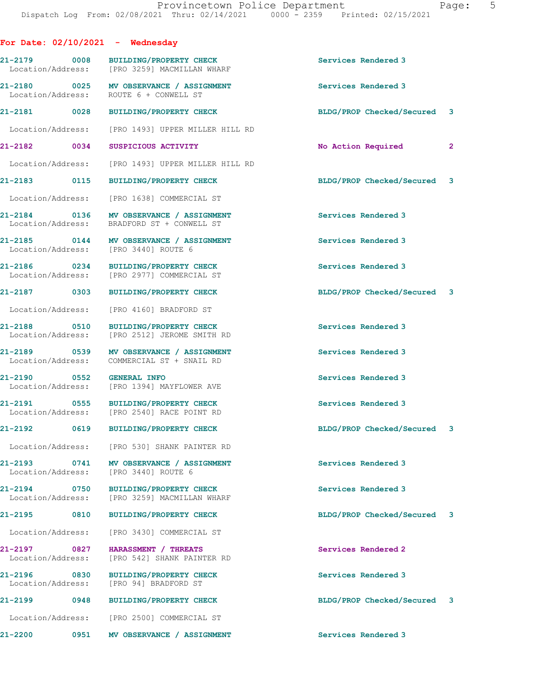|                           |      | For Date: $02/10/2021$ - Wednesday                                                    |                             |              |
|---------------------------|------|---------------------------------------------------------------------------------------|-----------------------------|--------------|
|                           |      | 21-2179 0008 BUILDING/PROPERTY CHECK<br>Location/Address: [PRO 3259] MACMILLAN WHARF  | Services Rendered 3         |              |
|                           |      | 21-2180 0025 MV OBSERVANCE / ASSIGNMENT<br>Location/Address: ROUTE 6 + CONWELL ST     | Services Rendered 3         |              |
|                           |      | 21-2181 0028 BUILDING/PROPERTY CHECK                                                  | BLDG/PROP Checked/Secured 3 |              |
|                           |      | Location/Address: [PRO 1493] UPPER MILLER HILL RD                                     |                             |              |
| 21-2182 0034              |      | SUSPICIOUS ACTIVITY                                                                   | No Action Required          | $\mathbf{2}$ |
|                           |      | Location/Address: [PRO 1493] UPPER MILLER HILL RD                                     |                             |              |
| 21-2183 0115              |      | BUILDING/PROPERTY CHECK                                                               | BLDG/PROP Checked/Secured 3 |              |
|                           |      | Location/Address: [PRO 1638] COMMERCIAL ST                                            |                             |              |
|                           |      | 21-2184 0136 MV OBSERVANCE / ASSIGNMENT<br>Location/Address: BRADFORD ST + CONWELL ST | Services Rendered 3         |              |
|                           |      | 21-2185 0144 MV OBSERVANCE / ASSIGNMENT<br>Location/Address: [PRO 3440] ROUTE 6       | Services Rendered 3         |              |
|                           |      | 21-2186 0234 BUILDING/PROPERTY CHECK<br>Location/Address: [PRO 2977] COMMERCIAL ST    | Services Rendered 3         |              |
| 21-2187 0303              |      | <b>BUILDING/PROPERTY CHECK</b>                                                        | BLDG/PROP Checked/Secured 3 |              |
|                           |      | Location/Address: [PRO 4160] BRADFORD ST                                              |                             |              |
|                           |      | 21-2188 0510 BUILDING/PROPERTY CHECK<br>Location/Address: [PRO 2512] JEROME SMITH RD  | Services Rendered 3         |              |
|                           |      | 21-2189 0539 MV OBSERVANCE / ASSIGNMENT<br>Location/Address: COMMERCIAL ST + SNAIL RD | Services Rendered 3         |              |
| 21-2190 0552 GENERAL INFO |      | Location/Address: [PRO 1394] MAYFLOWER AVE                                            | Services Rendered 3         |              |
|                           |      | 21-2191 0555 BUILDING/PROPERTY CHECK<br>Location/Address: [PRO 2540] RACE POINT RD    | Services Rendered 3         |              |
|                           |      | 21-2192 0619 BUILDING/PROPERTY CHECK                                                  | BLDG/PROP Checked/Secured 3 |              |
|                           |      | Location/Address: [PRO 530] SHANK PAINTER RD                                          |                             |              |
|                           |      | 21-2193 0741 MV OBSERVANCE / ASSIGNMENT<br>Location/Address: [PRO 3440] ROUTE 6       | Services Rendered 3         |              |
|                           |      | 21-2194 0750 BUILDING/PROPERTY CHECK<br>Location/Address: [PRO 3259] MACMILLAN WHARF  | Services Rendered 3         |              |
|                           |      | 21-2195 0810 BUILDING/PROPERTY CHECK                                                  | BLDG/PROP Checked/Secured 3 |              |
|                           |      | Location/Address: [PRO 3430] COMMERCIAL ST                                            |                             |              |
|                           |      | 21-2197 0827 HARASSMENT / THREATS<br>Location/Address: [PRO 542] SHANK PAINTER RD     | Services Rendered 2         |              |
| 21-2196                   |      | 0830 BUILDING/PROPERTY CHECK<br>Location/Address: [PRO 94] BRADFORD ST                | Services Rendered 3         |              |
| 21-2199                   | 0948 | <b>BUILDING/PROPERTY CHECK</b>                                                        | BLDG/PROP Checked/Secured 3 |              |
|                           |      | Location/Address: [PRO 2500] COMMERCIAL ST                                            |                             |              |
| 21-2200                   |      | 0951 MV OBSERVANCE / ASSIGNMENT                                                       | Services Rendered 3         |              |
|                           |      |                                                                                       |                             |              |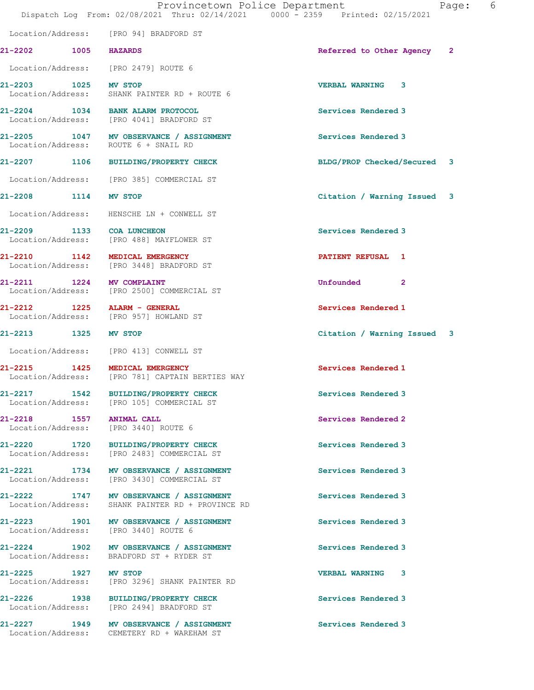|                           | Provincetown Police Department<br>Dispatch Log From: 02/08/2021 Thru: 02/14/2021 0000 - 2359 Printed: 02/15/2021 |                                  | 6<br>Page: |
|---------------------------|------------------------------------------------------------------------------------------------------------------|----------------------------------|------------|
|                           | Location/Address: [PRO 94] BRADFORD ST                                                                           |                                  |            |
| 21-2202 1005 HAZARDS      |                                                                                                                  | Referred to Other Agency 2       |            |
|                           | Location/Address: [PRO 2479] ROUTE 6                                                                             |                                  |            |
| 21-2203 1025 MV STOP      | Location/Address: SHANK PAINTER RD + ROUTE 6                                                                     | <b>VERBAL WARNING 3</b>          |            |
|                           | 21-2204 1034 BANK ALARM PROTOCOL<br>Location/Address: [PRO 4041] BRADFORD ST                                     | Services Rendered 3              |            |
|                           | 21-2205 1047 MV OBSERVANCE / ASSIGNMENT<br>Location/Address: ROUTE 6 + SNAIL RD                                  | Services Rendered 3              |            |
|                           | 21-2207 1106 BUILDING/PROPERTY CHECK                                                                             | BLDG/PROP Checked/Secured 3      |            |
|                           | Location/Address: [PRO 385] COMMERCIAL ST                                                                        |                                  |            |
| 21-2208 1114 MV STOP      |                                                                                                                  | Citation / Warning Issued 3      |            |
|                           | Location/Address: HENSCHE LN + CONWELL ST                                                                        |                                  |            |
|                           | 21-2209 1133 COA LUNCHEON<br>Location/Address: [PRO 488] MAYFLOWER ST                                            | Services Rendered 3              |            |
|                           | 21-2210 1142 MEDICAL EMERGENCY<br>Location/Address: [PRO 3448] BRADFORD ST                                       | PATIENT REFUSAL 1                |            |
| 21-2211 1224 MV COMPLAINT | Location/Address: [PRO 2500] COMMERCIAL ST                                                                       | <b>Unfounded</b><br>$\mathbf{2}$ |            |
|                           | 21-2212 1225 ALARM - GENERAL<br>Location/Address: [PRO 957] HOWLAND ST                                           | Services Rendered 1              |            |
| 21-2213 1325 MV STOP      |                                                                                                                  | Citation / Warning Issued 3      |            |
|                           | Location/Address: [PRO 413] CONWELL ST                                                                           |                                  |            |
|                           | 21-2215 1425 MEDICAL EMERGENCY<br>Location/Address: [PRO 781] CAPTAIN BERTIES WAY                                | Services Rendered 1              |            |
|                           | 21-2217 1542 BUILDING/PROPERTY CHECK<br>Location/Address: [PRO 105] COMMERCIAL ST                                | Services Rendered 3              |            |
| 21-2218 1557 ANIMAL CALL  | Location/Address: [PRO 3440] ROUTE 6                                                                             | Services Rendered 2              |            |
|                           | 21-2220 1720 BUILDING/PROPERTY CHECK<br>Location/Address: [PRO 2483] COMMERCIAL ST                               | Services Rendered 3              |            |
|                           | 21-2221 1734 MV OBSERVANCE / ASSIGNMENT<br>Location/Address: [PRO 3430] COMMERCIAL ST                            | Services Rendered 3              |            |
|                           | 21-2222 1747 MV OBSERVANCE / ASSIGNMENT<br>Location/Address: SHANK PAINTER RD + PROVINCE RD                      | Services Rendered 3              |            |
|                           | 21-2223 1901 MV OBSERVANCE / ASSIGNMENT<br>Location/Address: [PRO 3440] ROUTE 6                                  | Services Rendered 3              |            |
| Location/Address:         | 21-2224 1902 MV OBSERVANCE / ASSIGNMENT<br>BRADFORD ST + RYDER ST                                                | Services Rendered 3              |            |
| 21-2225 1927 MV STOP      | Location/Address: [PRO 3296] SHANK PAINTER RD                                                                    | VERBAL WARNING 3                 |            |
|                           | 21-2226 1938 BUILDING/PROPERTY CHECK<br>Location/Address: [PRO 2494] BRADFORD ST                                 | Services Rendered 3              |            |
|                           | 21-2227 1949 MV OBSERVANCE / ASSIGNMENT<br>Location/Address: CEMETERY RD + WAREHAM ST                            | Services Rendered 3              |            |
|                           |                                                                                                                  |                                  |            |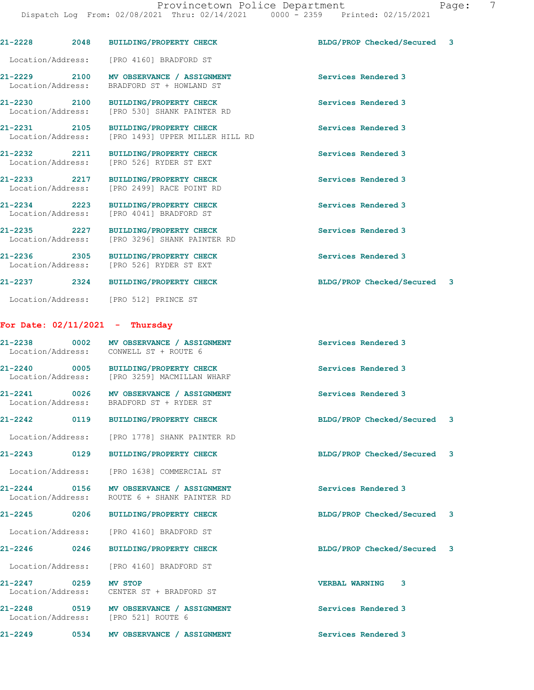**21-2228 2048 BUILDING/PROPERTY CHECK BLDG/PROP Checked/Secured 3**

Location/Address: [PRO 4160] BRADFORD ST

| Page |  |
|------|--|
|------|--|

**21-2229 2100 MV OBSERVANCE / ASSIGNMENT Services Rendered 3**  Location/Address: BRADFORD ST + HOWLAND ST **21-2230 2100 BUILDING/PROPERTY CHECK Services Rendered 3**  Location/Address: [PRO 530] SHANK PAINTER RD **21-2231 2105 BUILDING/PROPERTY CHECK Services Rendered 3**  Location/Address: [PRO 1493] UPPER MILLER HILL RD **21-2232 2211 BUILDING/PROPERTY CHECK Services Rendered 3**  Location/Address: [PRO 526] RYDER ST EXT **21-2233 2217 BUILDING/PROPERTY CHECK Services Rendered 3**  Location/Address: [PRO 2499] RACE POINT RD **21-2234 2223 BUILDING/PROPERTY CHECK Services Rendered 3**  Location/Address: [PRO 4041] BRADFORD ST **21-2235 2227 BUILDING/PROPERTY CHECK Services Rendered 3**  [PRO 3296] SHANK PAINTER RD 21-2236 2305 BUILDING/PROPERTY CHECK **2305** Services Rendered 3<br>
Location/Address: [PRO 526] RYDER ST EXT Location/Address: [PRO 526] RYDER ST EXT **21-2237 2324 BUILDING/PROPERTY CHECK BLDG/PROP Checked/Secured 3** Location/Address: [PRO 512] PRINCE ST **For Date: 02/11/2021 - Thursday 21-2238 0002 MV OBSERVANCE / ASSIGNMENT Services Rendered 3**  Location/Address: CONWELL ST + ROUTE 6 **21-2240 0005 BUILDING/PROPERTY CHECK Services Rendered 3**  Location/Address: [PRO 3259] MACMILLAN WHARF **21-2241 0026 MV OBSERVANCE / ASSIGNMENT Services Rendered 3**  Location/Address: BRADFORD ST + RYDER ST **21-2242 0119 BUILDING/PROPERTY CHECK BLDG/PROP Checked/Secured 3** Location/Address: [PRO 1778] SHANK PAINTER RD **21-2243 0129 BUILDING/PROPERTY CHECK BLDG/PROP Checked/Secured 3** Location/Address: [PRO 1638] COMMERCIAL ST **21-2244 0156 MV OBSERVANCE / ASSIGNMENT Services Rendered 3**  Location/Address: ROUTE 6 + SHANK PAINTER RD **21-2245 0206 BUILDING/PROPERTY CHECK BLDG/PROP Checked/Secured 3** Location/Address: [PRO 4160] BRADFORD ST **21-2246 0246 BUILDING/PROPERTY CHECK BLDG/PROP Checked/Secured 3** Location/Address: [PRO 4160] BRADFORD ST **21-2247 0259 MV STOP VERBAL WARNING 3**  Location/Address: CENTER ST + BRADFORD ST

**21-2248 0519 MV OBSERVANCE / ASSIGNMENT Services Rendered 3**  Location/Address: [PRO 521] ROUTE 6

**21-2249 0534 MV OBSERVANCE / ASSIGNMENT Services Rendered 3**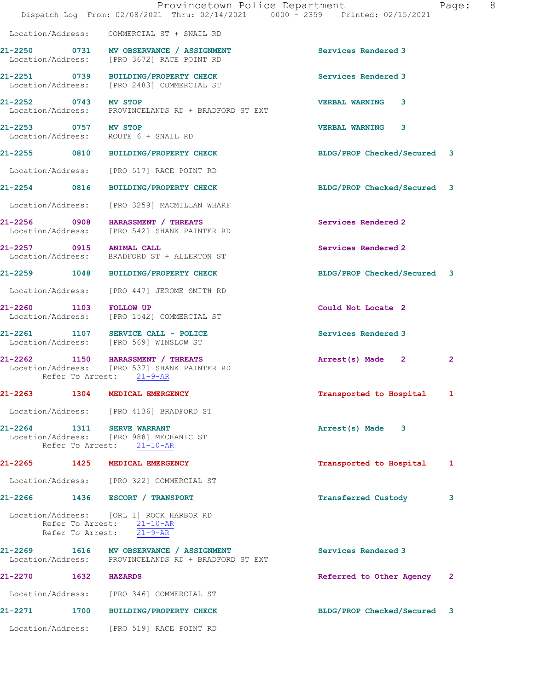|                          |                  | Provincetown Police Department<br>Dispatch Log From: 02/08/2021 Thru: 02/14/2021 0000 - 2359 Printed: 02/15/2021 |                             | - 8<br>Page: |
|--------------------------|------------------|------------------------------------------------------------------------------------------------------------------|-----------------------------|--------------|
|                          |                  | Location/Address: COMMERCIAL ST + SNAIL RD                                                                       |                             |              |
|                          |                  | 21-2250 0731 MV OBSERVANCE / ASSIGNMENT<br>Location/Address: [PRO 3672] RACE POINT RD                            | Services Rendered 3         |              |
|                          |                  | 21-2251 0739 BUILDING/PROPERTY CHECK<br>Location/Address: [PRO 2483] COMMERCIAL ST                               | Services Rendered 3         |              |
| 21-2252 0743 MV STOP     |                  | Location/Address: PROVINCELANDS RD + BRADFORD ST EXT                                                             | <b>VERBAL WARNING</b><br>3  |              |
| 21-2253 0757 MV STOP     |                  | Location/Address: ROUTE 6 + SNAIL RD                                                                             | VERBAL WARNING 3            |              |
|                          |                  | 21-2255 0810 BUILDING/PROPERTY CHECK                                                                             | BLDG/PROP Checked/Secured 3 |              |
|                          |                  | Location/Address: [PRO 517] RACE POINT RD                                                                        |                             |              |
|                          |                  | 21-2254 0816 BUILDING/PROPERTY CHECK                                                                             | BLDG/PROP Checked/Secured 3 |              |
|                          |                  | Location/Address: [PRO 3259] MACMILLAN WHARF                                                                     |                             |              |
|                          |                  | 21-2256 0908 HARASSMENT / THREATS<br>Location/Address: [PRO 542] SHANK PAINTER RD                                | Services Rendered 2         |              |
| 21-2257 0915 ANIMAL CALL |                  | Location/Address: BRADFORD ST + ALLERTON ST                                                                      | Services Rendered 2         |              |
|                          |                  | 21-2259 1048 BUILDING/PROPERTY CHECK                                                                             | BLDG/PROP Checked/Secured 3 |              |
|                          |                  | Location/Address: [PRO 447] JEROME SMITH RD                                                                      |                             |              |
| 21-2260                  |                  | 1103 FOLLOW UP<br>Location/Address: [PRO 1542] COMMERCIAL ST                                                     | Could Not Locate 2          |              |
|                          |                  | 21-2261 1107 SERVICE CALL - POLICE<br>Location/Address: [PRO 569] WINSLOW ST                                     | Services Rendered 3         |              |
|                          |                  | 21-2262 1150 HARASSMENT / THREATS<br>Location/Address: [PRO 537] SHANK PAINTER RD<br>Refer To Arrest: 21-9-AR    | Arrest(s) Made 2            | $\mathbf{2}$ |
| $21 - 2263$              | 1304             | MEDICAL EMERGENCY                                                                                                | Transported to Hospital     | 1            |
|                          |                  | Location/Address: [PRO 4136] BRADFORD ST                                                                         |                             |              |
| 21-2264                  | 1311             | <b>SERVE WARRANT</b><br>Location/Address: [PRO 988] MECHANIC ST<br>Refer To Arrest: 21-10-AR                     | Arrest(s) Made 3            |              |
| $21 - 2265$              | 1425             | MEDICAL EMERGENCY                                                                                                | Transported to Hospital     | 1            |
|                          |                  | Location/Address: [PRO 322] COMMERCIAL ST                                                                        |                             |              |
| 21-2266                  |                  | 1436 ESCORT / TRANSPORT                                                                                          | <b>Transferred Custody</b>  | 3            |
| Location/Address:        | Refer To Arrest: | [ORL 1] ROCK HARBOR RD<br>Refer To Arrest: 21-10-AR<br>$21 - 9 - AR$                                             |                             |              |
| $21 - 2269$              | 1616             | MV OBSERVANCE / ASSIGNMENT<br>Location/Address: PROVINCELANDS RD + BRADFORD ST EXT                               | Services Rendered 3         |              |
| 21-2270                  | 1632             | <b>HAZARDS</b>                                                                                                   | Referred to Other Agency    | $\mathbf{2}$ |
|                          |                  | Location/Address: [PRO 346] COMMERCIAL ST                                                                        |                             |              |
| 21-2271                  | 1700             | <b>BUILDING/PROPERTY CHECK</b>                                                                                   | BLDG/PROP Checked/Secured   | 3            |
|                          |                  | Location/Address: [PRO 519] RACE POINT RD                                                                        |                             |              |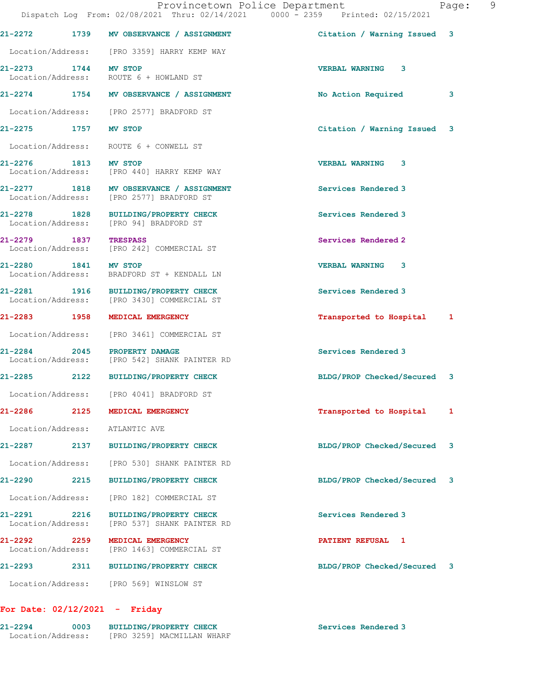|                                   |      | Provincetown Police Department<br>Dispatch Log From: 02/08/2021 Thru: 02/14/2021 0000 - 2359 Printed: 02/15/2021 |                             | - 9<br>Page: |
|-----------------------------------|------|------------------------------------------------------------------------------------------------------------------|-----------------------------|--------------|
|                                   |      | 21-2272 1739 MV OBSERVANCE / ASSIGNMENT                                                                          | Citation / Warning Issued 3 |              |
|                                   |      | Location/Address: [PRO 3359] HARRY KEMP WAY                                                                      |                             |              |
| 21-2273 1744 MV STOP              |      | Location/Address: ROUTE 6 + HOWLAND ST                                                                           | VERBAL WARNING 3            |              |
|                                   |      | 21-2274 1754 MV OBSERVANCE / ASSIGNMENT                                                                          | No Action Required          | 3            |
|                                   |      | Location/Address: [PRO 2577] BRADFORD ST                                                                         |                             |              |
| 21-2275 1757 MV STOP              |      |                                                                                                                  | Citation / Warning Issued 3 |              |
|                                   |      | Location/Address: ROUTE 6 + CONWELL ST                                                                           |                             |              |
| 21-2276 1813 MV STOP              |      | Location/Address: [PRO 440] HARRY KEMP WAY                                                                       | <b>VERBAL WARNING 3</b>     |              |
|                                   |      | 21-2277 1818 MV OBSERVANCE / ASSIGNMENT<br>Location/Address: [PRO 2577] BRADFORD ST                              | Services Rendered 3         |              |
|                                   |      | 21-2278 1828 BUILDING/PROPERTY CHECK<br>Location/Address: [PRO 94] BRADFORD ST                                   | Services Rendered 3         |              |
| 21-2279 1837 TRESPASS             |      | Location/Address: [PRO 242] COMMERCIAL ST                                                                        | Services Rendered 2         |              |
| 21-2280 1841 MV STOP              |      | Location/Address: BRADFORD ST + KENDALL LN                                                                       | <b>VERBAL WARNING 3</b>     |              |
|                                   |      | 21-2281 1916 BUILDING/PROPERTY CHECK<br>Location/Address: [PRO 3430] COMMERCIAL ST                               | Services Rendered 3         |              |
|                                   |      | 21-2283 1958 MEDICAL EMERGENCY                                                                                   | Transported to Hospital 1   |              |
|                                   |      | Location/Address: [PRO 3461] COMMERCIAL ST                                                                       |                             |              |
|                                   |      | 21-2284 2045 PROPERTY DAMAGE<br>Location/Address: [PRO 542] SHANK PAINTER RD                                     | Services Rendered 3         |              |
|                                   |      | 21-2285 2122 BUILDING/PROPERTY CHECK                                                                             | BLDG/PROP Checked/Secured 3 |              |
| Location/Address:                 |      | [PRO 4041] BRADFORD ST                                                                                           |                             |              |
|                                   |      | 21-2286 2125 MEDICAL EMERGENCY                                                                                   | Transported to Hospital     | 1            |
| Location/Address:                 |      | ATLANTIC AVE                                                                                                     |                             |              |
| 21-2287                           | 2137 | <b>BUILDING/PROPERTY CHECK</b>                                                                                   | BLDG/PROP Checked/Secured 3 |              |
| Location/Address:                 |      | [PRO 530] SHANK PAINTER RD                                                                                       |                             |              |
| 21-2290 2215                      |      | <b>BUILDING/PROPERTY CHECK</b>                                                                                   | BLDG/PROP Checked/Secured   | 3            |
| Location/Address:                 |      | [PRO 182] COMMERCIAL ST                                                                                          |                             |              |
| 21-2291 2216<br>Location/Address: |      | <b>BUILDING/PROPERTY CHECK</b><br>[PRO 537] SHANK PAINTER RD                                                     | Services Rendered 3         |              |
| 21-2292 2259                      |      | MEDICAL EMERGENCY<br>Location/Address: [PRO 1463] COMMERCIAL ST                                                  | <b>PATIENT REFUSAL 1</b>    |              |
| 21-2293 2311                      |      | <b>BUILDING/PROPERTY CHECK</b>                                                                                   | BLDG/PROP Checked/Secured 3 |              |
| Location/Address:                 |      | [PRO 569] WINSLOW ST                                                                                             |                             |              |

## **For Date: 02/12/2021 - Friday**

| $21 - 2294$       | 0003 | <b>BUILDING/PROPERTY CHECK</b> | Services Rendered 3 |
|-------------------|------|--------------------------------|---------------------|
| Location/Address: |      | [PRO 3259] MACMILLAN WHARF     |                     |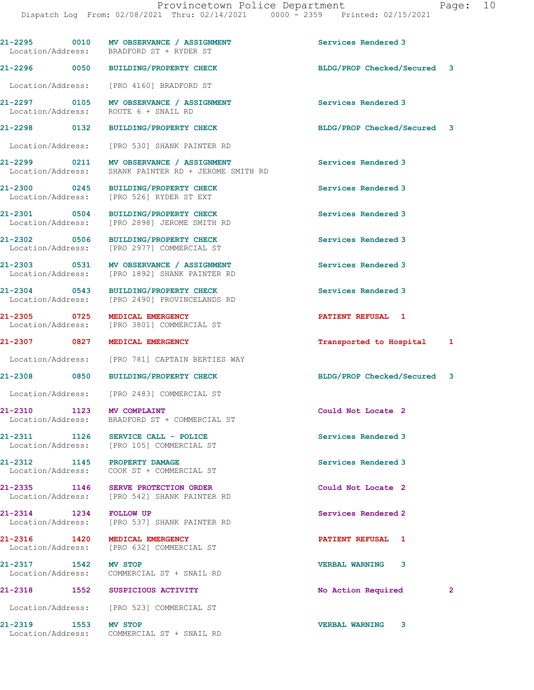**21-2295 0010 MV OBSERVANCE / ASSIGNMENT Services Rendered 3**  Location/Address: BRADFORD ST + RYDER ST **21-2296 0050 BUILDING/PROPERTY CHECK BLDG/PROP Checked/Secured 3** Location/Address: [PRO 4160] BRADFORD ST **21-2297 0105 MV OBSERVANCE / ASSIGNMENT Services Rendered 3**  Location/Address: ROUTE 6 + SNAIL RD **21-2298 0132 BUILDING/PROPERTY CHECK BLDG/PROP Checked/Secured 3** Location/Address: [PRO 530] SHANK PAINTER RD **21-2299 0211 MV OBSERVANCE / ASSIGNMENT Services Rendered 3**  Location/Address: SHANK PAINTER RD + JEROME SMITH RD **21-2300 0245 BUILDING/PROPERTY CHECK Services Rendered 3**  Location/Address: [PRO 526] RYDER ST EXT **21-2301 0504 BUILDING/PROPERTY CHECK Services Rendered 3**  Location/Address: [PRO 2898] JEROME SMITH RD 21-2302 0506 BUILDING/PROPERTY CHECK Services Rendered 3<br>
Location/Address: [PRO 2977] COMMERCIAL ST [PRO 2977] COMMERCIAL ST **21-2303 0531 MV OBSERVANCE / ASSIGNMENT Services Rendered 3**  Location/Address: [PRO 1892] SHANK PAINTER RD **21-2304 0543 BUILDING/PROPERTY CHECK Services Rendered 3**  Location/Address: [PRO 2490] PROVINCELANDS RD **21-2305 0725 MEDICAL EMERGENCY PATIENT REFUSAL 1**  [PRO 3801] COMMERCIAL ST **21-2307 0827 MEDICAL EMERGENCY Transported to Hospital 1** Location/Address: [PRO 781] CAPTAIN BERTIES WAY **21-2308 0850 BUILDING/PROPERTY CHECK BLDG/PROP Checked/Secured 3** Location/Address: [PRO 2483] COMMERCIAL ST **21-2310 1123 MV COMPLAINT Could Not Locate 2**  Location/Address: BRADFORD ST + COMMERCIAL ST **21-2311 1126 SERVICE CALL - POLICE Services Rendered 3**  Location/Address: [PRO 105] COMMERCIAL ST **21-2312 1145 PROPERTY DAMAGE Services Rendered 3**  Location/Address: COOK ST + COMMERCIAL ST **21-2335 1146 SERVE PROTECTION ORDER Could Not Locate 2**  Location/Address: [PRO 542] SHANK PAINTER RD **21-2314 1234 FOLLOW UP Services Rendered 2**  Location/Address: [PRO 537] SHANK PAINTER RD **21-2316 1420 MEDICAL EMERGENCY PATIENT REFUSAL 1**  Location/Address: [PRO 632] COMMERCIAL ST **21-2317 1542 MV STOP VERBAL WARNING 3**  COMMERCIAL ST + SNAIL RD **21-2318 1552 SUSPICIOUS ACTIVITY No Action Required 2** Location/Address: [PRO 523] COMMERCIAL ST **21-2319 1553 MV STOP VERBAL WARNING 3**  Location/Address: COMMERCIAL ST + SNAIL RD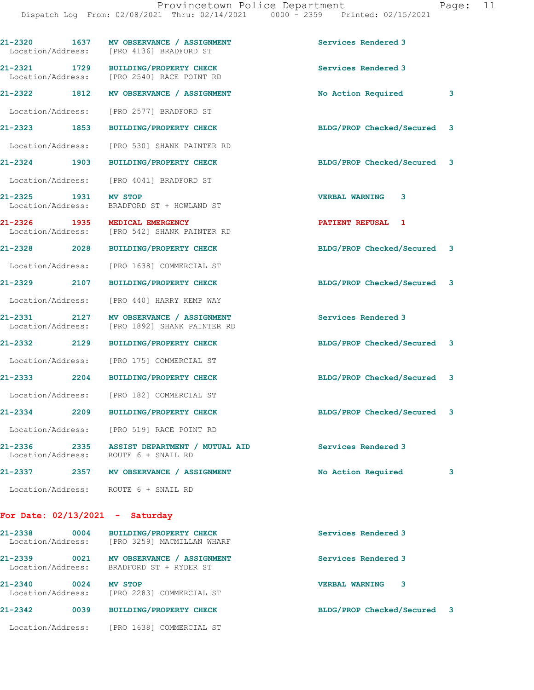| ⌒<br>ac: |  |
|----------|--|
|          |  |

| 21-2320                      | 1637 MV OBSERVANCE / ASSIGNMENT<br>Location/Address: [PRO 4136] BRADFORD ST              | Services Rendered 3         |   |
|------------------------------|------------------------------------------------------------------------------------------|-----------------------------|---|
|                              | 21-2321 1729 BUILDING/PROPERTY CHECK<br>Location/Address: [PRO 2540] RACE POINT RD       | Services Rendered 3         |   |
|                              | 21-2322 1812 MV OBSERVANCE / ASSIGNMENT                                                  | No Action Required          | 3 |
|                              | Location/Address: [PRO 2577] BRADFORD ST                                                 |                             |   |
| 21-2323 1853                 | <b>BUILDING/PROPERTY CHECK</b>                                                           | BLDG/PROP Checked/Secured 3 |   |
|                              | Location/Address: [PRO 530] SHANK PAINTER RD                                             |                             |   |
|                              | 21-2324 1903 BUILDING/PROPERTY CHECK                                                     | BLDG/PROP Checked/Secured 3 |   |
|                              | Location/Address: [PRO 4041] BRADFORD ST                                                 |                             |   |
| 21-2325<br>Location/Address: | 1931 MV STOP<br>BRADFORD ST + HOWLAND ST                                                 | <b>VERBAL WARNING 3</b>     |   |
|                              | 21-2326 1935 MEDICAL EMERGENCY<br>Location/Address: [PRO 542] SHANK PAINTER RD           | PATIENT REFUSAL 1           |   |
|                              | 21-2328 2028 BUILDING/PROPERTY CHECK                                                     | BLDG/PROP Checked/Secured 3 |   |
|                              | Location/Address: [PRO 1638] COMMERCIAL ST                                               |                             |   |
|                              | 21-2329 2107 BUILDING/PROPERTY CHECK                                                     | BLDG/PROP Checked/Secured 3 |   |
|                              | Location/Address: [PRO 440] HARRY KEMP WAY                                               |                             |   |
|                              | 21-2331 2127 MV OBSERVANCE / ASSIGNMENT<br>Location/Address: [PRO 1892] SHANK PAINTER RD | Services Rendered 3         |   |
| 21–2332 2129                 | <b>BUILDING/PROPERTY CHECK</b>                                                           | BLDG/PROP Checked/Secured 3 |   |
|                              | Location/Address: [PRO 175] COMMERCIAL ST                                                |                             |   |
| 21-2333 2204                 | <b>BUILDING/PROPERTY CHECK</b>                                                           | BLDG/PROP Checked/Secured 3 |   |
|                              | Location/Address: [PRO 182] COMMERCIAL ST                                                |                             |   |
| 21-2334 2209                 | <b>BUILDING/PROPERTY CHECK</b>                                                           | BLDG/PROP Checked/Secured 3 |   |
|                              | Location/Address: [PRO 519] RACE POINT RD                                                |                             |   |
| 21-2336                      | 21-2336  2335  ASSIST DEPARTMENT / MUTUAL AID<br>Location/Address:  ROUTE 6 + SNAIL RD   | Services Rendered 3         |   |
|                              |                                                                                          |                             |   |

**21-2337 2357 MV OBSERVANCE / ASSIGNMENT No Action Required 3** Location/Address: ROUTE 6 + SNAIL RD

## **For Date: 02/13/2021 - Saturday**

| 21-2338<br>Location/Address:     | 0004 | <b>BUILDING/PROPERTY CHECK</b><br>[PRO 3259] MACMILLAN WHARF   | Services Rendered 3        |    |
|----------------------------------|------|----------------------------------------------------------------|----------------------------|----|
| $21 - 2339$<br>Location/Address: | 0021 | MV OBSERVANCE /<br><b>ASSIGNMENT</b><br>BRADFORD ST + RYDER ST | Services Rendered 3        |    |
| 21-2340<br>Location/Address:     | 0024 | MV STOP<br>[PRO 2283] COMMERCIAL ST                            | 3<br><b>VERBAL WARNING</b> |    |
| $21 - 2342$                      | 0039 | <b>BUILDING/PROPERTY CHECK</b>                                 | BLDG/PROP Checked/Secured  | -3 |
| Location/Address:                |      | PRO 1638] COMMERCIAL ST                                        |                            |    |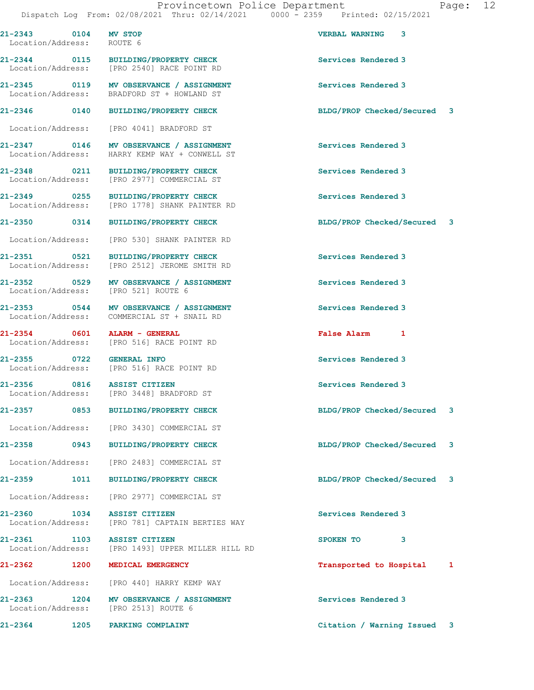Dispatch Log From: 02/08/2021 Thru: 02/14/2021 0000 - 2359 Printed: 02/15/2021 **21-2343 0104 MV STOP VERBAL WARNING 3**  Location/Address: ROUTE 6 **21-2344 0115 BUILDING/PROPERTY CHECK Services Rendered 3**  Location/Address: [PRO 2540] RACE POINT RD **21-2345 0119 MV OBSERVANCE / ASSIGNMENT Services Rendered 3**  Location/Address: BRADFORD ST + HOWLAND ST **21-2346 0140 BUILDING/PROPERTY CHECK BLDG/PROP Checked/Secured 3** Location/Address: [PRO 4041] BRADFORD ST **21-2347 0146 MV OBSERVANCE / ASSIGNMENT Services Rendered 3**  Location/Address: HARRY KEMP WAY + CONWELL ST **21-2348 0211 BUILDING/PROPERTY CHECK Services Rendered 3**  Location/Address: [PRO 2977] COMMERCIAL ST **21-2349 0255 BUILDING/PROPERTY CHECK Services Rendered 3**  Location/Address: [PRO 1778] SHANK PAINTER RD **21-2350 0314 BUILDING/PROPERTY CHECK BLDG/PROP Checked/Secured 3** Location/Address: [PRO 530] SHANK PAINTER RD **21-2351 0521 BUILDING/PROPERTY CHECK Services Rendered 3**  Location/Address: [PRO 2512] JEROME SMITH RD **21-2352 0529 MV OBSERVANCE / ASSIGNMENT Services Rendered 3**  Location/Address: [PRO 521] ROUTE 6 **21-2353 0544 MV OBSERVANCE / ASSIGNMENT Services Rendered 3**  Location/Address: COMMERCIAL ST + SNAIL RD **21-2354 0601 ALARM - GENERAL False Alarm 1**  Location/Address: [PRO 516] RACE POINT RD **21-2355 0722 GENERAL INFO Services Rendered 3**  [PRO 516] RACE POINT RD **21-2356 0816 ASSIST CITIZEN Services Rendered 3**  Location/Address: [PRO 3448] BRADFORD ST **21-2357 0853 BUILDING/PROPERTY CHECK BLDG/PROP Checked/Secured 3** Location/Address: [PRO 3430] COMMERCIAL ST **21-2358 0943 BUILDING/PROPERTY CHECK BLDG/PROP Checked/Secured 3** Location/Address: [PRO 2483] COMMERCIAL ST **21-2359 1011 BUILDING/PROPERTY CHECK BLDG/PROP Checked/Secured 3** Location/Address: [PRO 2977] COMMERCIAL ST **21-2360 1034 ASSIST CITIZEN Services Rendered 3**  Location/Address: [PRO 781] CAPTAIN BERTIES WAY **21-2361 1103 ASSIST CITIZEN SPOKEN TO 3**  Location/Address: [PRO 1493] UPPER MILLER HILL RD **21-2362 1200 MEDICAL EMERGENCY Transported to Hospital 1** Location/Address: [PRO 440] HARRY KEMP WAY 21-2363 1204 MV OBSERVANCE / ASSIGNMENT **Services Rendered 3**  Location/Address: [PRO 2513] ROUTE 6 **21-2364 1205 PARKING COMPLAINT Citation / Warning Issued 3**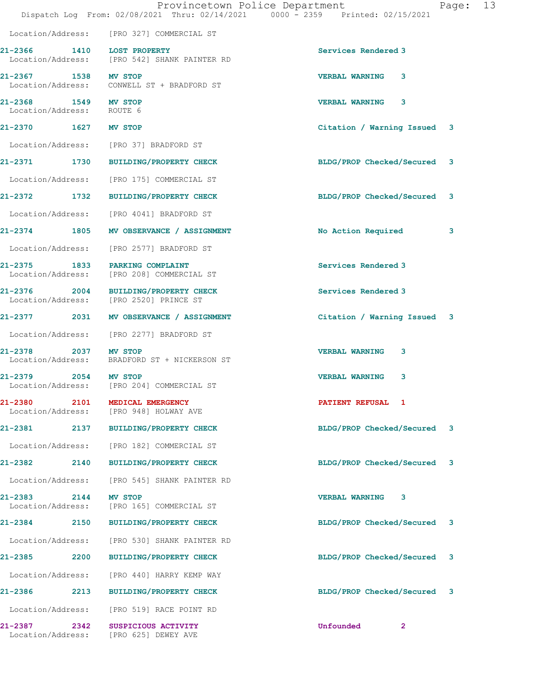|                                                                             |                                            | Provincetown Police Department<br>Dispatch Log From: 02/08/2021 Thru: 02/14/2021 0000 - 2359 Printed: 02/15/2021 |                             |              | Page: 13 |  |
|-----------------------------------------------------------------------------|--------------------------------------------|------------------------------------------------------------------------------------------------------------------|-----------------------------|--------------|----------|--|
| Location/Address: [PRO 327] COMMERCIAL ST                                   |                                            |                                                                                                                  |                             |              |          |  |
| 21-2366<br>Location/Address: [PRO 542] SHANK PAINTER RD                     | 1410 LOST PROPERTY                         |                                                                                                                  | Services Rendered 3         |              |          |  |
| 21-2367 1538 MV STOP<br>Location/Address: CONWELL ST + BRADFORD ST          |                                            |                                                                                                                  | <b>VERBAL WARNING</b>       | 3            |          |  |
| 21-2368 1549 MV STOP<br>Location/Address: ROUTE 6                           |                                            |                                                                                                                  | <b>VERBAL WARNING 3</b>     |              |          |  |
| 21-2370 1627 MV STOP                                                        |                                            |                                                                                                                  | Citation / Warning Issued 3 |              |          |  |
| Location/Address: [PRO 37] BRADFORD ST                                      |                                            |                                                                                                                  |                             |              |          |  |
| 21-2371 1730 BUILDING/PROPERTY CHECK                                        |                                            |                                                                                                                  | BLDG/PROP Checked/Secured 3 |              |          |  |
| Location/Address: [PRO 175] COMMERCIAL ST                                   |                                            |                                                                                                                  |                             |              |          |  |
| 21-2372 1732 BUILDING/PROPERTY CHECK                                        |                                            |                                                                                                                  | BLDG/PROP Checked/Secured 3 |              |          |  |
| Location/Address: [PRO 4041] BRADFORD ST                                    |                                            |                                                                                                                  |                             |              |          |  |
| 21-2374 1805 MV OBSERVANCE / ASSIGNMENT                                     |                                            |                                                                                                                  | No Action Required          |              | 3        |  |
| Location/Address: [PRO 2577] BRADFORD ST                                    |                                            |                                                                                                                  |                             |              |          |  |
| 21-2375 1833 PARKING COMPLAINT<br>Location/Address: [PRO 208] COMMERCIAL ST |                                            |                                                                                                                  | Services Rendered 3         |              |          |  |
| 21-2376<br>Location/Address: [PRO 2520] PRINCE ST                           | 2004 BUILDING/PROPERTY CHECK               |                                                                                                                  | Services Rendered 3         |              |          |  |
| 21-2377 2031 MV OBSERVANCE / ASSIGNMENT                                     |                                            |                                                                                                                  | Citation / Warning Issued 3 |              |          |  |
| Location/Address: [PRO 2277] BRADFORD ST                                    |                                            |                                                                                                                  |                             |              |          |  |
| 21-2378<br>Location/Address: BRADFORD ST + NICKERSON ST                     | 2037 MV STOP                               |                                                                                                                  | <b>VERBAL WARNING 3</b>     |              |          |  |
| 21-2379 2054 MV STOP<br>Location/Address: [PRO 204] COMMERCIAL ST           |                                            |                                                                                                                  | <b>VERBAL WARNING</b>       | 3            |          |  |
| 21-2380 2101 MEDICAL EMERGENCY<br>Location/Address: [PRO 948] HOLWAY AVE    |                                            |                                                                                                                  | <b>PATIENT REFUSAL 1</b>    |              |          |  |
| 21-2381 2137 BUILDING/PROPERTY CHECK                                        |                                            |                                                                                                                  | BLDG/PROP Checked/Secured 3 |              |          |  |
| Location/Address:                                                           |                                            | [PRO 182] COMMERCIAL ST                                                                                          |                             |              |          |  |
| 21-2382 2140                                                                |                                            | <b>BUILDING/PROPERTY CHECK</b>                                                                                   | BLDG/PROP Checked/Secured 3 |              |          |  |
| Location/Address:                                                           |                                            | [PRO 545] SHANK PAINTER RD                                                                                       |                             |              |          |  |
| 21-2383 2144<br>Location/Address:                                           | <b>MV STOP</b>                             | [PRO 165] COMMERCIAL ST                                                                                          | <b>VERBAL WARNING 3</b>     |              |          |  |
| 21-2384 2150 BUILDING/PROPERTY CHECK                                        |                                            |                                                                                                                  | BLDG/PROP Checked/Secured 3 |              |          |  |
| Location/Address:                                                           |                                            | [PRO 530] SHANK PAINTER RD                                                                                       |                             |              |          |  |
| 21-2385 2200                                                                |                                            | <b>BUILDING/PROPERTY CHECK</b>                                                                                   | BLDG/PROP Checked/Secured 3 |              |          |  |
| Location/Address:                                                           |                                            | [PRO 440] HARRY KEMP WAY                                                                                         |                             |              |          |  |
| 21-2386 2014                                                                | 2213                                       | <b>BUILDING/PROPERTY CHECK</b>                                                                                   | BLDG/PROP Checked/Secured 3 |              |          |  |
| Location/Address: [PRO 519] RACE POINT RD                                   |                                            |                                                                                                                  |                             |              |          |  |
| 21-2387<br>2342<br>Location/Address:                                        | SUSPICIOUS ACTIVITY<br>[PRO 625] DEWEY AVE |                                                                                                                  | Unfounded                   | $\mathbf{2}$ |          |  |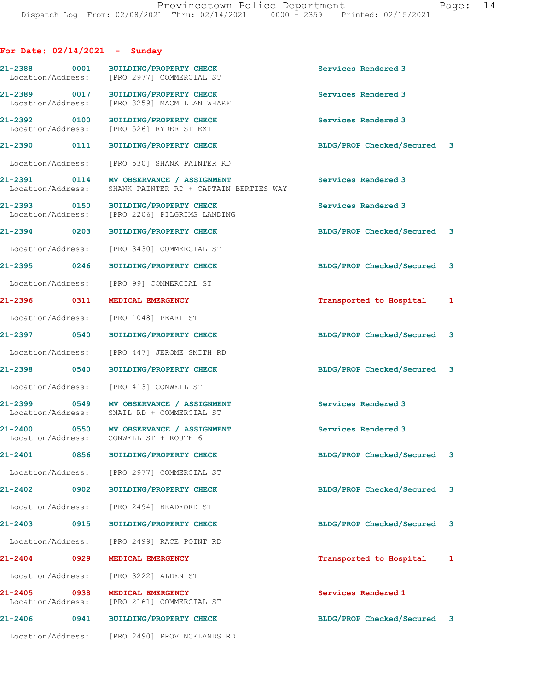**For Date: 02/14/2021 - Sunday 21-2388 0001 BUILDING/PROPERTY CHECK Services Rendered 3**  Location/Address: [PRO 2977] COMMERCIAL ST **21-2389 0017 BUILDING/PROPERTY CHECK Services Rendered 3**  Location/Address: [PRO 3259] MACMILLAN WHARF 21-2392 0100 BUILDING/PROPERTY CHECK Services Rendered 3<br>
Location/Address: [PRO 526] RYDER ST EXT [PRO 526] RYDER ST EXT **21-2390 0111 BUILDING/PROPERTY CHECK BLDG/PROP Checked/Secured 3** Location/Address: [PRO 530] SHANK PAINTER RD **21-2391 0114 MV OBSERVANCE / ASSIGNMENT Services Rendered 3**  Location/Address: SHANK PAINTER RD + CAPTAIN BERTIES WAY **21-2393 0150 BUILDING/PROPERTY CHECK Services Rendered 3**  Location/Address: [PRO 2206] PILGRIMS LANDING **21-2394 0203 BUILDING/PROPERTY CHECK BLDG/PROP Checked/Secured 3** Location/Address: [PRO 3430] COMMERCIAL ST **21-2395 0246 BUILDING/PROPERTY CHECK BLDG/PROP Checked/Secured 3** Location/Address: [PRO 99] COMMERCIAL ST **21-2396 0311 MEDICAL EMERGENCY Transported to Hospital 1** Location/Address: [PRO 1048] PEARL ST **21-2397 0540 BUILDING/PROPERTY CHECK BLDG/PROP Checked/Secured 3** Location/Address: [PRO 447] JEROME SMITH RD **21-2398 0540 BUILDING/PROPERTY CHECK BLDG/PROP Checked/Secured 3** Location/Address: [PRO 413] CONWELL ST **21-2399 0549 MV OBSERVANCE / ASSIGNMENT Services Rendered 3**  SNAIL RD + COMMERCIAL ST **21-2400 0550 MV OBSERVANCE / ASSIGNMENT Services Rendered 3**  Location/Address: CONWELL ST + ROUTE 6 **21-2401 0856 BUILDING/PROPERTY CHECK BLDG/PROP Checked/Secured 3** Location/Address: [PRO 2977] COMMERCIAL ST **21-2402 0902 BUILDING/PROPERTY CHECK BLDG/PROP Checked/Secured 3** Location/Address: [PRO 2494] BRADFORD ST **21-2403 0915 BUILDING/PROPERTY CHECK BLDG/PROP Checked/Secured 3** Location/Address: [PRO 2499] RACE POINT RD **21-2404 0929 MEDICAL EMERGENCY Transported to Hospital 1** Location/Address: [PRO 3222] ALDEN ST **21-2405 0938 MEDICAL EMERGENCY Services Rendered 1**  Location/Address: [PRO 2161] COMMERCIAL ST **21-2406 0941 BUILDING/PROPERTY CHECK BLDG/PROP Checked/Secured 3**

Location/Address: [PRO 2490] PROVINCELANDS RD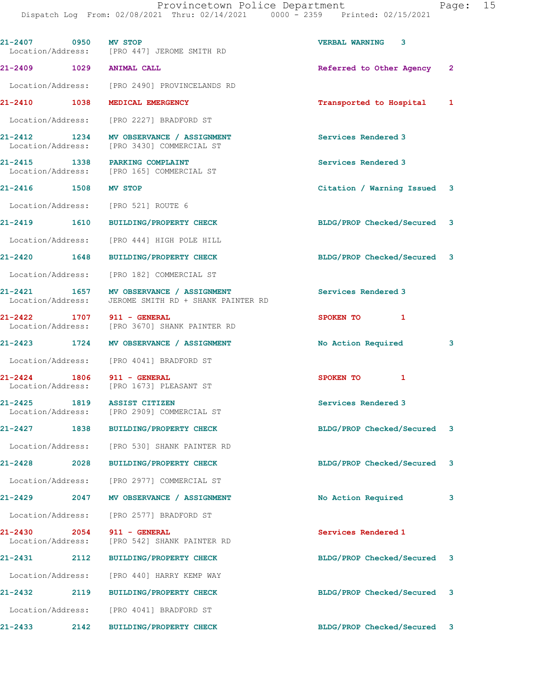| 21-2407 0950 MV STOP                |                                                                                                 | <b>VERBAL WARNING 3</b>     |   |
|-------------------------------------|-------------------------------------------------------------------------------------------------|-----------------------------|---|
|                                     | Location/Address: [PRO 447] JEROME SMITH RD                                                     |                             |   |
| 21-2409 1029 ANIMAL CALL            |                                                                                                 | Referred to Other Agency 2  |   |
|                                     | Location/Address: [PRO 2490] PROVINCELANDS RD                                                   |                             |   |
| 21-2410 1038 MEDICAL EMERGENCY      |                                                                                                 | Transported to Hospital 1   |   |
|                                     | Location/Address: [PRO 2227] BRADFORD ST                                                        |                             |   |
|                                     | 21-2412 1234 MV OBSERVANCE / ASSIGNMENT<br>Location/Address: [PRO 3430] COMMERCIAL ST           | Services Rendered 3         |   |
| 21-2415 1338 PARKING COMPLAINT      | Location/Address: [PRO 165] COMMERCIAL ST                                                       | Services Rendered 3         |   |
| 21-2416 1508 MV STOP                |                                                                                                 | Citation / Warning Issued 3 |   |
| Location/Address: [PRO 521] ROUTE 6 |                                                                                                 |                             |   |
|                                     | 21-2419 1610 BUILDING/PROPERTY CHECK                                                            | BLDG/PROP Checked/Secured 3 |   |
|                                     | Location/Address: [PRO 444] HIGH POLE HILL                                                      |                             |   |
|                                     | 21-2420 1648 BUILDING/PROPERTY CHECK                                                            | BLDG/PROP Checked/Secured 3 |   |
|                                     | Location/Address: [PRO 182] COMMERCIAL ST                                                       |                             |   |
|                                     | 21-2421 1657 MV OBSERVANCE / ASSIGNMENT<br>Location/Address: JEROME SMITH RD + SHANK PAINTER RD | Services Rendered 3         |   |
| 21-2422 1707 911 - GENERAL          | Location/Address: [PRO 3670] SHANK PAINTER RD                                                   | SPOKEN TO 1                 |   |
|                                     | 21-2423 1724 MV OBSERVANCE / ASSIGNMENT                                                         | No Action Required 3        |   |
|                                     | Location/Address: [PRO 4041] BRADFORD ST                                                        |                             |   |
| 21-2424 1806 911 - GENERAL          | Location/Address: [PRO 1673] PLEASANT ST                                                        | SPOKEN TO 1                 |   |
| 21-2425 1819 ASSIST CITIZEN         | Location/Address: [PRO 2909] COMMERCIAL ST                                                      | Services Rendered 3         |   |
| $21 - 2427$<br>1838                 | <b>BUILDING/PROPERTY CHECK</b>                                                                  | BLDG/PROP Checked/Secured 3 |   |
|                                     | Location/Address: [PRO 530] SHANK PAINTER RD                                                    |                             |   |
| 21-2428 2028                        | <b>BUILDING/PROPERTY CHECK</b>                                                                  | BLDG/PROP Checked/Secured 3 |   |
| Location/Address:                   | [PRO 2977] COMMERCIAL ST                                                                        |                             |   |
| 21-2429<br>2047                     | MV OBSERVANCE / ASSIGNMENT                                                                      | No Action Required          | 3 |
| Location/Address:                   | [PRO 2577] BRADFORD ST                                                                          |                             |   |
| 21-2430<br>2054                     | 911 - GENERAL<br>Location/Address: [PRO 542] SHANK PAINTER RD                                   | Services Rendered 1         |   |
| 21-2431 2112                        | BUILDING/PROPERTY CHECK                                                                         | BLDG/PROP Checked/Secured 3 |   |
| Location/Address:                   | [PRO 440] HARRY KEMP WAY                                                                        |                             |   |
| 2119<br>21-2432                     | <b>BUILDING/PROPERTY CHECK</b>                                                                  | BLDG/PROP Checked/Secured 3 |   |
|                                     | Location/Address: [PRO 4041] BRADFORD ST                                                        |                             |   |
| 21-2433<br>2142                     | <b>BUILDING/PROPERTY CHECK</b>                                                                  | BLDG/PROP Checked/Secured 3 |   |